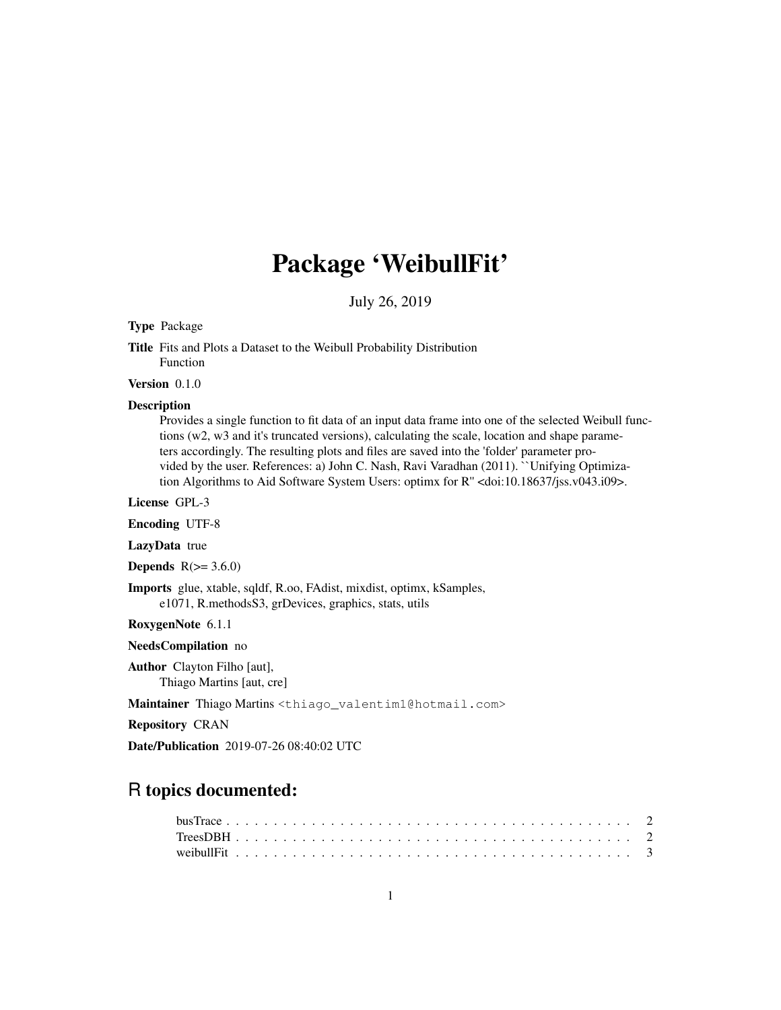# Package 'WeibullFit'

July 26, 2019

# Type Package

Title Fits and Plots a Dataset to the Weibull Probability Distribution Function

Version 0.1.0

#### Description

Provides a single function to fit data of an input data frame into one of the selected Weibull functions (w2, w3 and it's truncated versions), calculating the scale, location and shape parameters accordingly. The resulting plots and files are saved into the 'folder' parameter provided by the user. References: a) John C. Nash, Ravi Varadhan (2011). ``Unifying Optimization Algorithms to Aid Software System Users: optimx for R'' <doi:10.18637/jss.v043.i09>.

License GPL-3

Encoding UTF-8

LazyData true

Depends  $R(>= 3.6.0)$ 

Imports glue, xtable, sqldf, R.oo, FAdist, mixdist, optimx, kSamples, e1071, R.methodsS3, grDevices, graphics, stats, utils

RoxygenNote 6.1.1

NeedsCompilation no

Author Clayton Filho [aut], Thiago Martins [aut, cre]

Maintainer Thiago Martins <thiago\_valentim1@hotmail.com>

Repository CRAN

Date/Publication 2019-07-26 08:40:02 UTC

# R topics documented: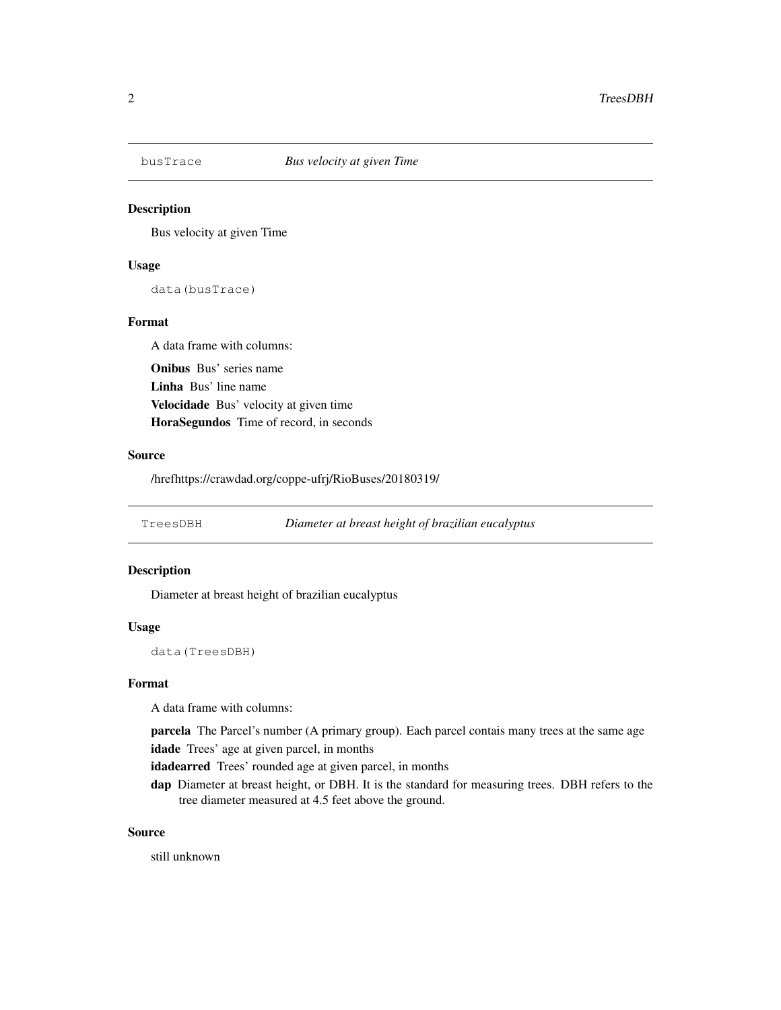# Description

Bus velocity at given Time

### Usage

data(busTrace)

# Format

A data frame with columns: Onibus Bus' series name Linha Bus' line name Velocidade Bus' velocity at given time HoraSegundos Time of record, in seconds

# Source

/hrefhttps://crawdad.org/coppe-ufrj/RioBuses/20180319/

TreesDBH *Diameter at breast height of brazilian eucalyptus*

## Description

Diameter at breast height of brazilian eucalyptus

#### Usage

data(TreesDBH)

#### Format

A data frame with columns:

parcela The Parcel's number (A primary group). Each parcel contais many trees at the same age idade Trees' age at given parcel, in months

idadearred Trees' rounded age at given parcel, in months

dap Diameter at breast height, or DBH. It is the standard for measuring trees. DBH refers to the tree diameter measured at 4.5 feet above the ground.

#### Source

still unknown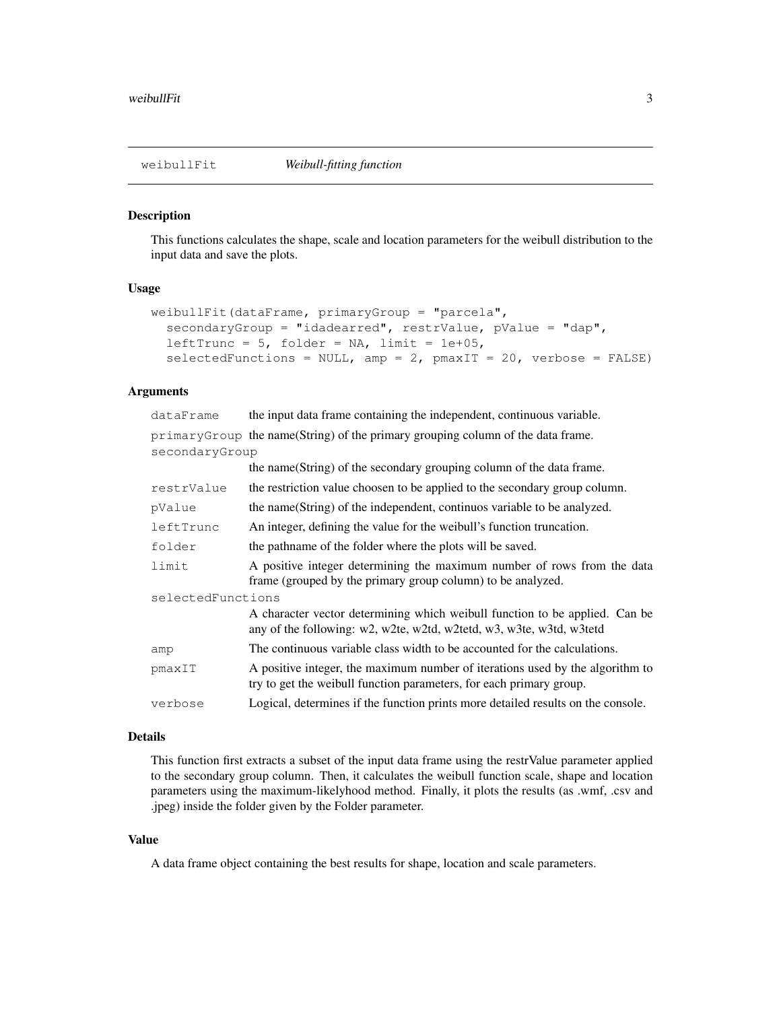#### Description

This functions calculates the shape, scale and location parameters for the weibull distribution to the input data and save the plots.

#### Usage

```
weibullFit(dataFrame, primaryGroup = "parcela",
  secondaryGroup = "idadearred", restrValue, pValue = "dap",
  leftTrunc = 5, folder = NA, limit = 1e+05,
  selectedFunctions = NULL, amp = 2, pmaxIT = 20, verbose = FALSE)
```
# Arguments

dataFrame the input data frame containing the independent, continuous variable. primaryGroup the name(String) of the primary grouping column of the data frame. secondaryGroup

|                   | the name(String) of the secondary grouping column of the data frame.                                                                                 |
|-------------------|------------------------------------------------------------------------------------------------------------------------------------------------------|
| restrValue        | the restriction value choosen to be applied to the secondary group column.                                                                           |
| pValue            | the name (String) of the independent, continuos variable to be analyzed.                                                                             |
| leftTrunc         | An integer, defining the value for the weibull's function truncation.                                                                                |
| folder            | the pathname of the folder where the plots will be saved.                                                                                            |
| limit             | A positive integer determining the maximum number of rows from the data<br>frame (grouped by the primary group column) to be analyzed.               |
| selectedFunctions |                                                                                                                                                      |
|                   | A character vector determining which weibull function to be applied. Can be<br>any of the following: w2, w2te, w2td, w2tetd, w3, w3te, w3td, w3tetd  |
| amp               | The continuous variable class width to be accounted for the calculations.                                                                            |
| pmaxIT            | A positive integer, the maximum number of iterations used by the algorithm to<br>try to get the weibull function parameters, for each primary group. |
| verbose           | Logical, determines if the function prints more detailed results on the console.                                                                     |

# Details

This function first extracts a subset of the input data frame using the restrValue parameter applied to the secondary group column. Then, it calculates the weibull function scale, shape and location parameters using the maximum-likelyhood method. Finally, it plots the results (as .wmf, .csv and .jpeg) inside the folder given by the Folder parameter.

#### Value

A data frame object containing the best results for shape, location and scale parameters.